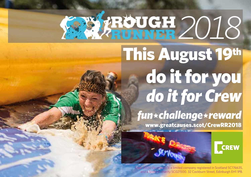## **22 XROUGH 2018** This August 19th

## do it for you *do it for Crew*

*fun\*challenge\*reward* www.greatcauses.scot/CrewRR2018



Crew 2000 (Scotland) is a limited company registered in Scotland SC176635, and a Scottish charity SC021500. 32 Cockburn Street, Edinburgh EH1 1PB.